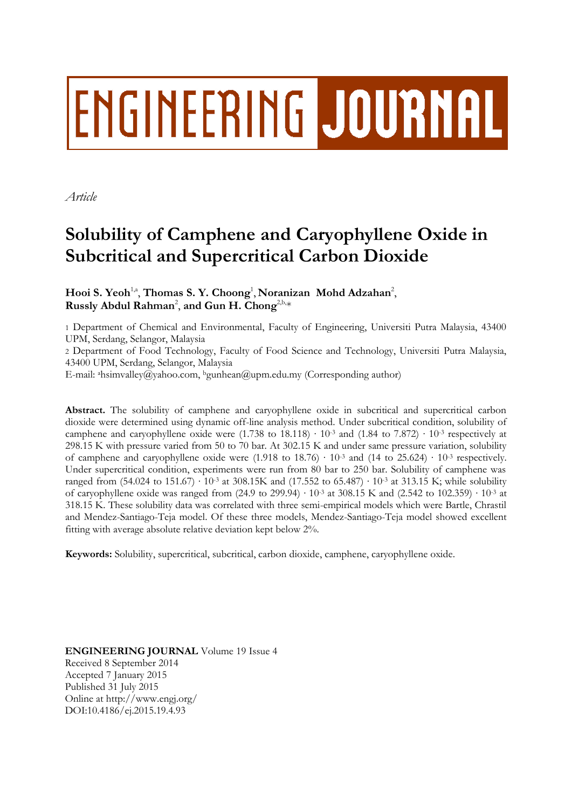# ENGINEERING JOURNAL

*Article*

## **Solubility of Camphene and Caryophyllene Oxide in Subcritical and Supercritical Carbon Dioxide**

Hooi S. Yeoh<sup>1,a</sup>, Thomas S. Y. Choong<sup>1</sup>, Noranizan Mohd Adzahan<sup>2</sup>, Russly Abdul Rahman<sup>2</sup>, and Gun H. Chong<sup>2,b,\*</sup>

1 Department of Chemical and Environmental, Faculty of Engineering, Universiti Putra Malaysia, 43400 UPM, Serdang, Selangor, Malaysia

2 Department of Food Technology, Faculty of Food Science and Technology, Universiti Putra Malaysia, 43400 UPM, Serdang, Selangor, Malaysia

E-mail: <sup>a</sup>hsimvalley@yahoo.com, <sup>b</sup>gunhean@upm.edu.my (Corresponding author)

Abstract. The solubility of camphene and caryophyllene oxide in subcritical and supercritical carbon dioxide were determined using dynamic off-line analysis method. Under subcritical condition, solubility of camphene and caryophyllene oxide were (1.738 to 18.118) ⋅ 10⋅3 and (1.84 to 7.872) ⋅ 10⋅3 respectively at 298.15 K with pressure varied from 50 to 70 bar. At 302.15 K and under same pressure variation, solubility of camphene and caryophyllene oxide were (1.918 to 18.76) ∙ 10-3 and (14 to 25.624) ∙ 10-3 respectively. Under supercritical condition, experiments were run from 80 bar to 250 bar. Solubility of camphene was ranged from (54.024 to 151.67) ∙ 10-3 at 308.15K and (17.552 to 65.487) ∙ 10-3 at 313.15 K; while solubility of caryophyllene oxide was ranged from (24.9 to 299.94) ∙ 10-3 at 308.15 K and (2.542 to 102.359) ∙ 10-3 at 318.15 K. These solubility data was correlated with three semi-empirical models which were Bartle, Chrastil and Mendez-Santiago-Teja model. Of these three models, Mendez-Santiago-Teja model showed excellent fitting with average absolute relative deviation kept below 2%.

**Keywords:** Solubility, supercritical, subcritical, carbon dioxide, camphene, caryophyllene oxide.

**ENGINEERING JOURNAL** Volume 19 Issue 4 Received 8 September 2014 Accepted 7 January 2015 Published 31 July 2015 Online at http://www.engj.org/ DOI:10.4186/ej.2015.19.4.93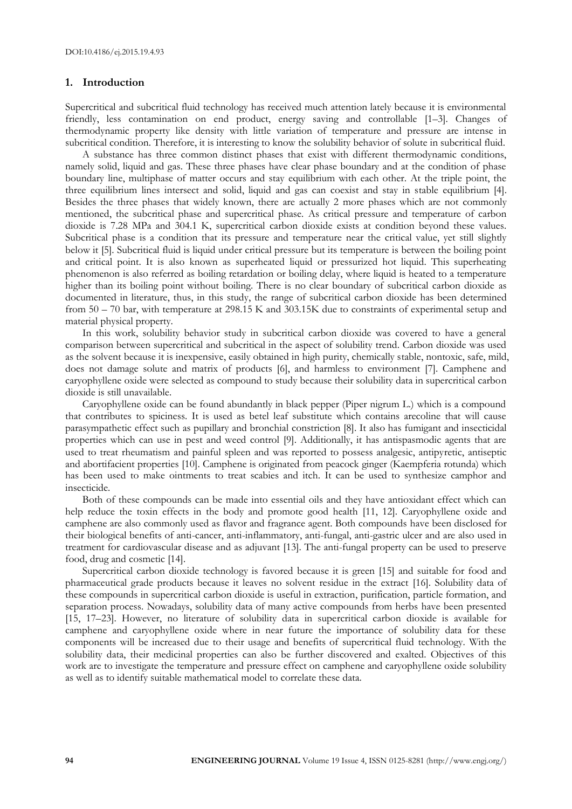#### **1. Introduction**

Supercritical and subcritical fluid technology has received much attention lately because it is environmental friendly, less contamination on end product, energy saving and controllable [1–3]. Changes of thermodynamic property like density with little variation of temperature and pressure are intense in subcritical condition. Therefore, it is interesting to know the solubility behavior of solute in subcritical fluid.

A substance has three common distinct phases that exist with different thermodynamic conditions, namely solid, liquid and gas. These three phases have clear phase boundary and at the condition of phase boundary line, multiphase of matter occurs and stay equilibrium with each other. At the triple point, the three equilibrium lines intersect and solid, liquid and gas can coexist and stay in stable equilibrium [4]. Besides the three phases that widely known, there are actually 2 more phases which are not commonly mentioned, the subcritical phase and supercritical phase. As critical pressure and temperature of carbon dioxide is 7.28 MPa and 304.1 K, supercritical carbon dioxide exists at condition beyond these values. Subcritical phase is a condition that its pressure and temperature near the critical value, yet still slightly below it [5]. Subcritical fluid is liquid under critical pressure but its temperature is between the boiling point and critical point. It is also known as superheated liquid or pressurized hot liquid. This superheating phenomenon is also referred as boiling retardation or boiling delay, where liquid is heated to a temperature higher than its boiling point without boiling. There is no clear boundary of subcritical carbon dioxide as documented in literature, thus, in this study, the range of subcritical carbon dioxide has been determined from 50 – 70 bar, with temperature at 298.15 K and 303.15K due to constraints of experimental setup and material physical property.

In this work, solubility behavior study in subcritical carbon dioxide was covered to have a general comparison between supercritical and subcritical in the aspect of solubility trend. Carbon dioxide was used as the solvent because it is inexpensive, easily obtained in high purity, chemically stable, nontoxic, safe, mild, does not damage solute and matrix of products [6], and harmless to environment [7]. Camphene and caryophyllene oxide were selected as compound to study because their solubility data in supercritical carbon dioxide is still unavailable.

Caryophyllene oxide can be found abundantly in black pepper (Piper nigrum L.) which is a compound that contributes to spiciness. It is used as betel leaf substitute which contains arecoline that will cause parasympathetic effect such as pupillary and bronchial constriction [8]. It also has fumigant and insecticidal properties which can use in pest and weed control [9]. Additionally, it has antispasmodic agents that are used to treat rheumatism and painful spleen and was reported to possess analgesic, antipyretic, antiseptic and abortifacient properties [10]. Camphene is originated from peacock ginger (Kaempferia rotunda) which has been used to make ointments to treat scabies and itch. It can be used to synthesize camphor and insecticide.

Both of these compounds can be made into essential oils and they have antioxidant effect which can help reduce the toxin effects in the body and promote good health [11, 12]. Caryophyllene oxide and camphene are also commonly used as flavor and fragrance agent. Both compounds have been disclosed for their biological benefits of anti-cancer, anti-inflammatory, anti-fungal, anti-gastric ulcer and are also used in treatment for cardiovascular disease and as adjuvant [13]. The anti-fungal property can be used to preserve food, drug and cosmetic [14].

Supercritical carbon dioxide technology is favored because it is green [15] and suitable for food and pharmaceutical grade products because it leaves no solvent residue in the extract [16]. Solubility data of these compounds in supercritical carbon dioxide is useful in extraction, purification, particle formation, and separation process. Nowadays, solubility data of many active compounds from herbs have been presented [15, 17–23]. However, no literature of solubility data in supercritical carbon dioxide is available for camphene and caryophyllene oxide where in near future the importance of solubility data for these components will be increased due to their usage and benefits of supercritical fluid technology. With the solubility data, their medicinal properties can also be further discovered and exalted. Objectives of this work are to investigate the temperature and pressure effect on camphene and caryophyllene oxide solubility as well as to identify suitable mathematical model to correlate these data.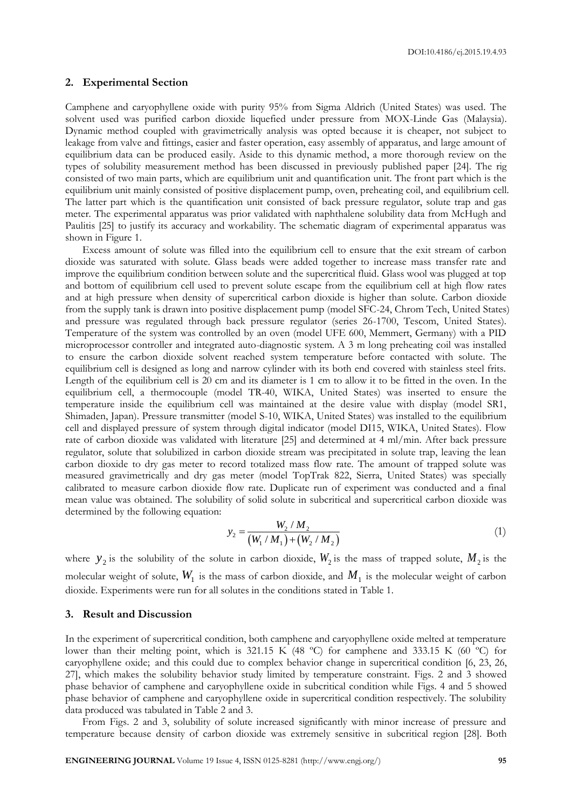DOI:10.4186/ej.2015.19.4.93

### **2. Experimental Section**

Camphene and caryophyllene oxide with purity 95% from Sigma Aldrich (United States) was used. The solvent used was purified carbon dioxide liquefied under pressure from MOX-Linde Gas (Malaysia). Dynamic method coupled with gravimetrically analysis was opted because it is cheaper, not subject to leakage from valve and fittings, easier and faster operation, easy assembly of apparatus, and large amount of equilibrium data can be produced easily. Aside to this dynamic method, a more thorough review on the types of solubility measurement method has been discussed in previously published paper [24]. The rig consisted of two main parts, which are equilibrium unit and quantification unit. The front part which is the equilibrium unit mainly consisted of positive displacement pump, oven, preheating coil, and equilibrium cell. The latter part which is the quantification unit consisted of back pressure regulator, solute trap and gas meter. The experimental apparatus was prior validated with naphthalene solubility data from McHugh and Paulitis [25] to justify its accuracy and workability. The schematic diagram of experimental apparatus was shown in Figure 1.

Excess amount of solute was filled into the equilibrium cell to ensure that the exit stream of carbon dioxide was saturated with solute. Glass beads were added together to increase mass transfer rate and improve the equilibrium condition between solute and the supercritical fluid. Glass wool was plugged at top and bottom of equilibrium cell used to prevent solute escape from the equilibrium cell at high flow rates and at high pressure when density of supercritical carbon dioxide is higher than solute. Carbon dioxide from the supply tank is drawn into positive displacement pump (model SFC-24, Chrom Tech, United States) and pressure was regulated through back pressure regulator (series 26-1700, Tescom, United States). Temperature of the system was controlled by an oven (model UFE 600, Memmert, Germany) with a PID microprocessor controller and integrated auto-diagnostic system. A 3 m long preheating coil was installed to ensure the carbon dioxide solvent reached system temperature before contacted with solute. The equilibrium cell is designed as long and narrow cylinder with its both end covered with stainless steel frits. Length of the equilibrium cell is 20 cm and its diameter is 1 cm to allow it to be fitted in the oven. In the equilibrium cell, a thermocouple (model TR-40, WIKA, United States) was inserted to ensure the temperature inside the equilibrium cell was maintained at the desire value with display (model SR1, Shimaden, Japan). Pressure transmitter (model S-10, WIKA, United States) was installed to the equilibrium cell and displayed pressure of system through digital indicator (model DI15, WIKA, United States). Flow rate of carbon dioxide was validated with literature [25] and determined at 4 ml/min. After back pressure regulator, solute that solubilized in carbon dioxide stream was precipitated in solute trap, leaving the lean carbon dioxide to dry gas meter to record totalized mass flow rate. The amount of trapped solute was measured gravimetrically and dry gas meter (model TopTrak 822, Sierra, United States) was specially calibrated to measure carbon dioxide flow rate. Duplicate run of experiment was conducted and a final mean value was obtained. The solubility of solid solute in subcritical and supercritical carbon dioxide was determined by the following equation:

$$
y_2 = \frac{W_2 / M_2}{(W_1 / M_1) + (W_2 / M_2)}
$$
(1)

where  $y_2$  is the solubility of the solute in carbon dioxide,  $W_2$  is the mass of trapped solute,  $M_2$  is the molecular weight of solute,  $W_{1}$  is the mass of carbon dioxide, and  $M_{1}$  is the molecular weight of carbon dioxide. Experiments were run for all solutes in the conditions stated in Table 1.

#### **3. Result and Discussion**

In the experiment of supercritical condition, both camphene and caryophyllene oxide melted at temperature lower than their melting point, which is 321.15 K (48 ºC) for camphene and 333.15 K (60 ºC) for caryophyllene oxide; and this could due to complex behavior change in supercritical condition [6, 23, 26, 27], which makes the solubility behavior study limited by temperature constraint. Figs. 2 and 3 showed phase behavior of camphene and caryophyllene oxide in subcritical condition while Figs. 4 and 5 showed phase behavior of camphene and caryophyllene oxide in supercritical condition respectively. The solubility data produced was tabulated in Table 2 and 3.

From Figs. 2 and 3, solubility of solute increased significantly with minor increase of pressure and temperature because density of carbon dioxide was extremely sensitive in subcritical region [28]. Both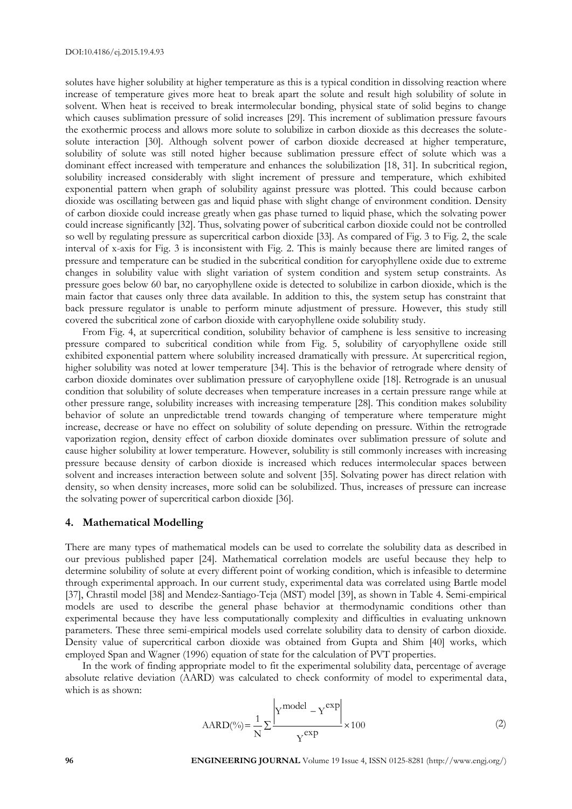solutes have higher solubility at higher temperature as this is a typical condition in dissolving reaction where increase of temperature gives more heat to break apart the solute and result high solubility of solute in solvent. When heat is received to break intermolecular bonding, physical state of solid begins to change which causes sublimation pressure of solid increases [29]. This increment of sublimation pressure favours the exothermic process and allows more solute to solubilize in carbon dioxide as this decreases the solutesolute interaction [30]. Although solvent power of carbon dioxide decreased at higher temperature, solubility of solute was still noted higher because sublimation pressure effect of solute which was a dominant effect increased with temperature and enhances the solubilization [18, 31]. In subcritical region, solubility increased considerably with slight increment of pressure and temperature, which exhibited exponential pattern when graph of solubility against pressure was plotted. This could because carbon dioxide was oscillating between gas and liquid phase with slight change of environment condition. Density of carbon dioxide could increase greatly when gas phase turned to liquid phase, which the solvating power could increase significantly [32]. Thus, solvating power of subcritical carbon dioxide could not be controlled so well by regulating pressure as supercritical carbon dioxide [33]. As compared of Fig. 3 to Fig. 2, the scale interval of x-axis for Fig. 3 is inconsistent with Fig. 2. This is mainly because there are limited ranges of pressure and temperature can be studied in the subcritical condition for caryophyllene oxide due to extreme changes in solubility value with slight variation of system condition and system setup constraints. As pressure goes below 60 bar, no caryophyllene oxide is detected to solubilize in carbon dioxide, which is the main factor that causes only three data available. In addition to this, the system setup has constraint that back pressure regulator is unable to perform minute adjustment of pressure. However, this study still covered the subcritical zone of carbon dioxide with caryophyllene oxide solubility study.

From Fig. 4, at supercritical condition, solubility behavior of camphene is less sensitive to increasing pressure compared to subcritical condition while from Fig. 5, solubility of caryophyllene oxide still exhibited exponential pattern where solubility increased dramatically with pressure. At supercritical region, higher solubility was noted at lower temperature [34]. This is the behavior of retrograde where density of carbon dioxide dominates over sublimation pressure of caryophyllene oxide [18]. Retrograde is an unusual condition that solubility of solute decreases when temperature increases in a certain pressure range while at other pressure range, solubility increases with increasing temperature [28]. This condition makes solubility behavior of solute an unpredictable trend towards changing of temperature where temperature might increase, decrease or have no effect on solubility of solute depending on pressure. Within the retrograde vaporization region, density effect of carbon dioxide dominates over sublimation pressure of solute and cause higher solubility at lower temperature. However, solubility is still commonly increases with increasing pressure because density of carbon dioxide is increased which reduces intermolecular spaces between solvent and increases interaction between solute and solvent [35]. Solvating power has direct relation with density, so when density increases, more solid can be solubilized. Thus, increases of pressure can increase the solvating power of supercritical carbon dioxide [36].

#### **4. Mathematical Modelling**

There are many types of mathematical models can be used to correlate the solubility data as described in our previous published paper [24]. Mathematical correlation models are useful because they help to determine solubility of solute at every different point of working condition, which is infeasible to determine through experimental approach. In our current study, experimental data was correlated using Bartle model [37], Chrastil model [38] and Mendez-Santiago-Teja (MST) model [39], as shown in Table 4. Semi-empirical models are used to describe the general phase behavior at thermodynamic conditions other than experimental because they have less computationally complexity and difficulties in evaluating unknown parameters. These three semi-empirical models used correlate solubility data to density of carbon dioxide. Density value of supercritical carbon dioxide was obtained from Gupta and Shim [40] works, which employed Span and Wagner (1996) equation of state for the calculation of PVT properties.

In the work of finding appropriate model to fit the experimental solubility data, percentage of average absolute relative deviation (AARD) was calculated to check conformity of model to experimental data, which is as shown:

$$
AARD(\%)=\frac{1}{N}\sum_{i}^{\infty} \frac{\left|Y^{model} - Y^{exp}\right|}{Y^{exp}} \times 100
$$
 (2)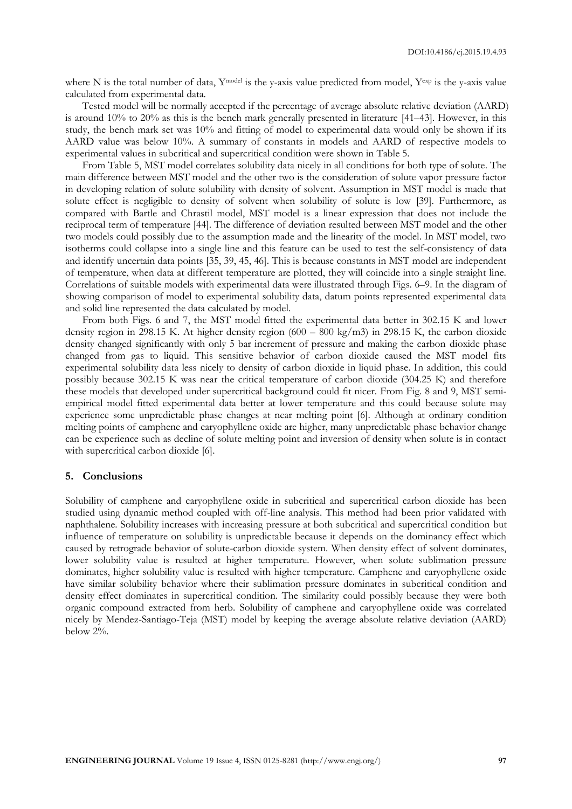where N is the total number of data, Y<sup>model</sup> is the y-axis value predicted from model, Yexp is the y-axis value calculated from experimental data.

Tested model will be normally accepted if the percentage of average absolute relative deviation (AARD) is around 10% to 20% as this is the bench mark generally presented in literature [41–43]. However, in this study, the bench mark set was 10% and fitting of model to experimental data would only be shown if its AARD value was below 10%. A summary of constants in models and AARD of respective models to experimental values in subcritical and supercritical condition were shown in Table 5.

From Table 5, MST model correlates solubility data nicely in all conditions for both type of solute. The main difference between MST model and the other two is the consideration of solute vapor pressure factor in developing relation of solute solubility with density of solvent. Assumption in MST model is made that solute effect is negligible to density of solvent when solubility of solute is low [39]. Furthermore, as compared with Bartle and Chrastil model, MST model is a linear expression that does not include the reciprocal term of temperature [44]. The difference of deviation resulted between MST model and the other two models could possibly due to the assumption made and the linearity of the model. In MST model, two isotherms could collapse into a single line and this feature can be used to test the self-consistency of data and identify uncertain data points [35, 39, 45, 46]. This is because constants in MST model are independent of temperature, when data at different temperature are plotted, they will coincide into a single straight line. Correlations of suitable models with experimental data were illustrated through Figs. 6–9. In the diagram of showing comparison of model to experimental solubility data, datum points represented experimental data and solid line represented the data calculated by model.

From both Figs. 6 and 7, the MST model fitted the experimental data better in 302.15 K and lower density region in 298.15 K. At higher density region  $(600 - 800 \text{ kg/m3})$  in 298.15 K, the carbon dioxide density changed significantly with only 5 bar increment of pressure and making the carbon dioxide phase changed from gas to liquid. This sensitive behavior of carbon dioxide caused the MST model fits experimental solubility data less nicely to density of carbon dioxide in liquid phase. In addition, this could possibly because 302.15 K was near the critical temperature of carbon dioxide (304.25 K) and therefore these models that developed under supercritical background could fit nicer. From Fig. 8 and 9, MST semiempirical model fitted experimental data better at lower temperature and this could because solute may experience some unpredictable phase changes at near melting point [6]. Although at ordinary condition melting points of camphene and caryophyllene oxide are higher, many unpredictable phase behavior change can be experience such as decline of solute melting point and inversion of density when solute is in contact with supercritical carbon dioxide [6].

#### **5. Conclusions**

Solubility of camphene and caryophyllene oxide in subcritical and supercritical carbon dioxide has been studied using dynamic method coupled with off-line analysis. This method had been prior validated with naphthalene. Solubility increases with increasing pressure at both subcritical and supercritical condition but influence of temperature on solubility is unpredictable because it depends on the dominancy effect which caused by retrograde behavior of solute-carbon dioxide system. When density effect of solvent dominates, lower solubility value is resulted at higher temperature. However, when solute sublimation pressure dominates, higher solubility value is resulted with higher temperature. Camphene and caryophyllene oxide have similar solubility behavior where their sublimation pressure dominates in subcritical condition and density effect dominates in supercritical condition. The similarity could possibly because they were both organic compound extracted from herb. Solubility of camphene and caryophyllene oxide was correlated nicely by Mendez-Santiago-Teja (MST) model by keeping the average absolute relative deviation (AARD) below 2%.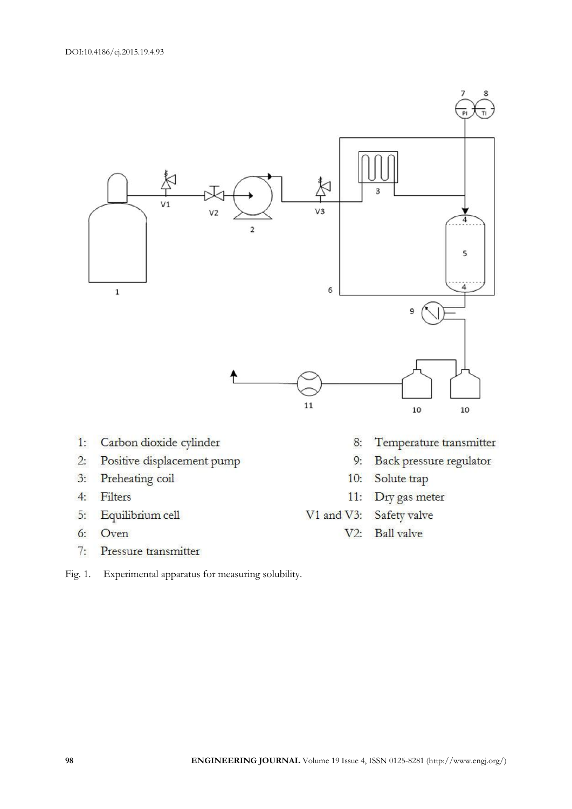

- Carbon dioxide cylinder  $1:$
- $2:$ Positive displacement pump
- Preheating coil  $3:$
- $4:$ Filters
- Equilibrium cell 5:
- $6:$ Oven
- $7:$ Pressure transmitter
- Fig. 1. Experimental apparatus for measuring solubility.
- Temperature transmitter 8:
- Back pressure regulator  $9:$
- Solute trap  $10:$
- 11: Dry gas meter
- Safety valve  $V1$  and  $V3$ :
	- $V2:$ **Ball** valve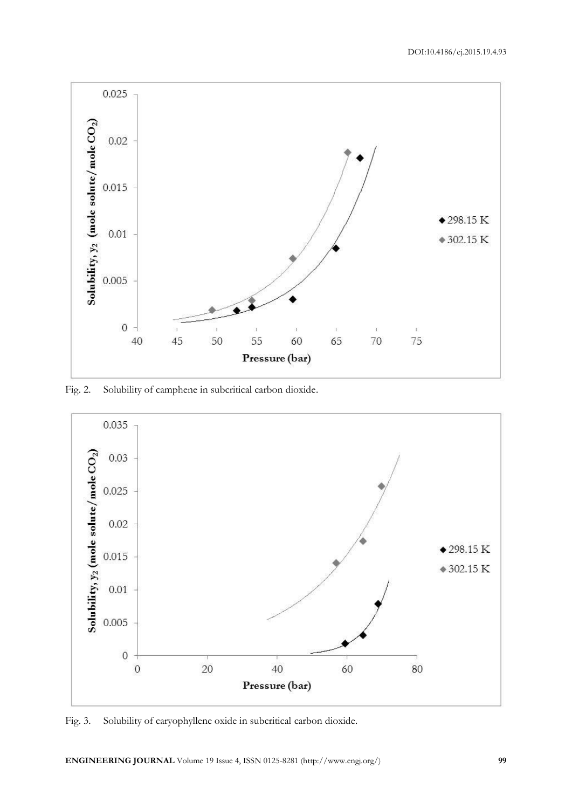

Fig. 2. Solubility of camphene in subcritical carbon dioxide.



Fig. 3. Solubility of caryophyllene oxide in subcritical carbon dioxide.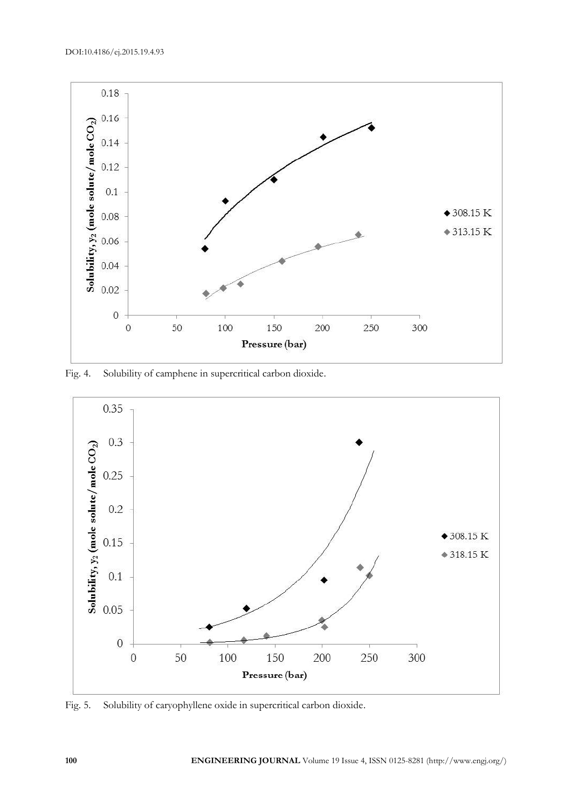DOI:10.4186/ej.2015.19.4.93



Fig. 4. Solubility of camphene in supercritical carbon dioxide.



Fig. 5. Solubility of caryophyllene oxide in supercritical carbon dioxide.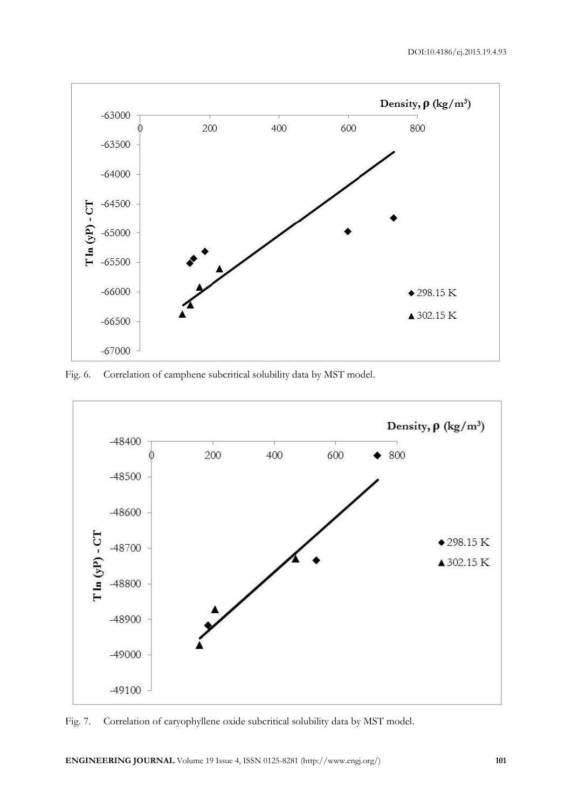

Fig. 6. Correlation of camphene subcritical solubility data by MST model.



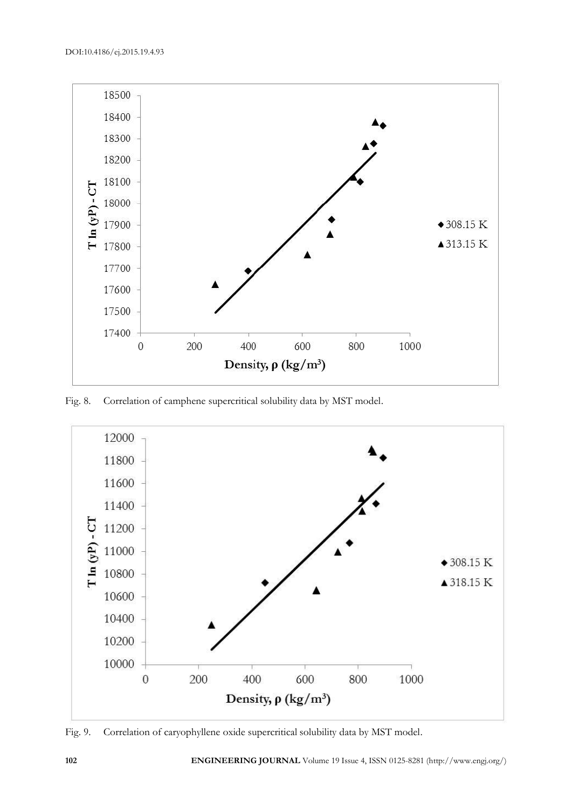

Fig. 8. Correlation of camphene supercritical solubility data by MST model.



Fig. 9. Correlation of caryophyllene oxide supercritical solubility data by MST model.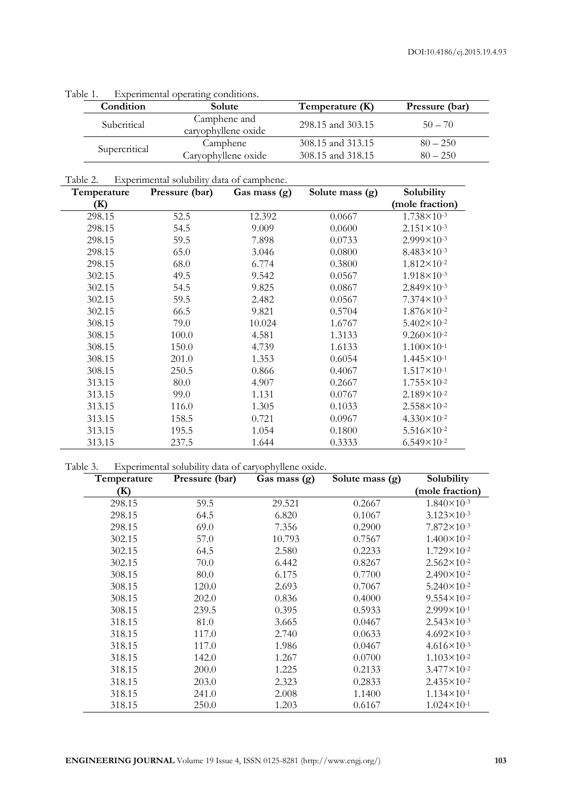| ADIC 1. |               | Experimental operating continuous.  |                   |                |
|---------|---------------|-------------------------------------|-------------------|----------------|
|         | Condition     | Solute                              | Temperature (K)   | Pressure (bar) |
|         | Subcritical   | Camphene and<br>caryophyllene oxide | 298.15 and 303.15 | $50 - 70$      |
|         | Supercritical | Camphene                            | 308.15 and 313.15 | $80 - 250$     |
|         |               | Caryophyllene oxide                 | 308.15 and 318.15 | $80 - 250$     |

Table 1. Experimental operating conditions.

Table 2. Experimental solubility data of camphene.

| Temperature | Pressure (bar) | Gas mass (g) | Solute mass (g) | Solubility             |
|-------------|----------------|--------------|-----------------|------------------------|
| (K)         |                |              |                 | (mole fraction)        |
| 298.15      | 52.5           | 12.392       | 0.0667          | $1.738 \times 10^{-3}$ |
| 298.15      | 54.5           | 9.009        | 0.0600          | $2.151 \times 10^{-3}$ |
| 298.15      | 59.5           | 7.898        | 0.0733          | $2.999 \times 10^{-3}$ |
| 298.15      | 65.0           | 3.046        | 0.0800          | $8.483 \times 10^{-3}$ |
| 298.15      | 68.0           | 6.774        | 0.3800          | $1.812 \times 10^{-2}$ |
| 302.15      | 49.5           | 9.542        | 0.0567          | $1.918 \times 10^{-3}$ |
| 302.15      | 54.5           | 9.825        | 0.0867          | $2.849 \times 10^{-3}$ |
| 302.15      | 59.5           | 2.482        | 0.0567          | $7.374 \times 10^{-3}$ |
| 302.15      | 66.5           | 9.821        | 0.5704          | $1.876 \times 10^{-2}$ |
| 308.15      | 79.0           | 10.024       | 1.6767          | $5.402 \times 10^{-2}$ |
| 308.15      | 100.0          | 4.581        | 1.3133          | $9.260 \times 10^{-2}$ |
| 308.15      | 150.0          | 4.739        | 1.6133          | $1.100 \times 10^{-1}$ |
| 308.15      | 201.0          | 1.353        | 0.6054          | $1.445 \times 10^{-1}$ |
| 308.15      | 250.5          | 0.866        | 0.4067          | $1.517 \times 10^{-1}$ |
| 313.15      | 80.0           | 4.907        | 0.2667          | $1.755 \times 10^{-2}$ |
| 313.15      | 99.0           | 1.131        | 0.0767          | $2.189\times10^{-2}$   |
| 313.15      | 116.0          | 1.305        | 0.1033          | $2.558 \times 10^{-2}$ |
| 313.15      | 158.5          | 0.721        | 0.0967          | $4.330 \times 10^{-2}$ |
| 313.15      | 195.5          | 1.054        | 0.1800          | $5.516 \times 10^{-2}$ |
| 313.15      | 237.5          | 1.644        | 0.3333          | $6.549\times10^{-2}$   |

Table 3. Experimental solubility data of caryophyllene oxide.

| Temperature | Pressure (bar) | Gas mass (g) | Solute mass (g) | Solubility             |
|-------------|----------------|--------------|-----------------|------------------------|
| (K)         |                |              |                 | (mole fraction)        |
| 298.15      | 59.5           | 29.521       | 0.2667          | $1.840 \times 10^{-3}$ |
| 298.15      | 64.5           | 6.820        | 0.1067          | $3.123 \times 10^{-3}$ |
| 298.15      | 69.0           | 7.356        | 0.2900          | $7.872 \times 10^{-3}$ |
| 302.15      | 57.0           | 10.793       | 0.7567          | $1.400 \times 10^{-2}$ |
| 302.15      | 64.5           | 2.580        | 0.2233          | $1.729 \times 10^{-2}$ |
| 302.15      | 70.0           | 6.442        | 0.8267          | $2.562 \times 10^{-2}$ |
| 308.15      | 80.0           | 6.175        | 0.7700          | $2.490 \times 10^{-2}$ |
| 308.15      | 120.0          | 2.693        | 0.7067          | $5.240 \times 10^{-2}$ |
| 308.15      | 202.0          | 0.836        | 0.4000          | $9.554 \times 10^{-2}$ |
| 308.15      | 239.5          | 0.395        | 0.5933          | $2.999 \times 10^{-1}$ |
| 318.15      | 81.0           | 3.665        | 0.0467          | $2.543 \times 10^{-3}$ |
| 318.15      | 117.0          | 2.740        | 0.0633          | $4.692 \times 10^{-3}$ |
| 318.15      | 117.0          | 1.986        | 0.0467          | $4.616 \times 10^{-3}$ |
| 318.15      | 142.0          | 1.267        | 0.0700          | $1.103 \times 10^{-2}$ |
| 318.15      | 200.0          | 1.225        | 0.2133          | $3.477 \times 10^{-2}$ |
| 318.15      | 203.0          | 2.323        | 0.2833          | $2.435 \times 10^{-2}$ |
| 318.15      | 241.0          | 2.008        | 1.1400          | $1.134 \times 10^{-1}$ |
| 318.15      | 250.0          | 1.203        | 0.6167          | $1.024 \times 10^{-1}$ |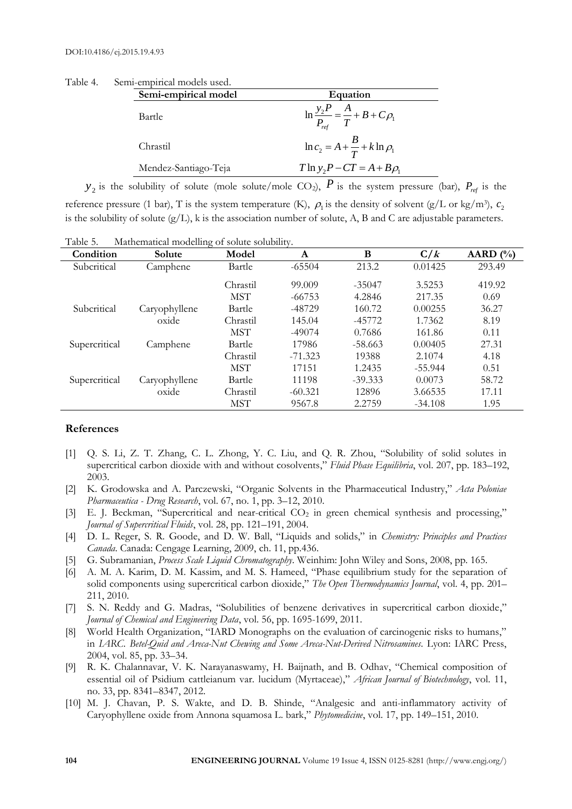| Table 4. | Semi-empirical models used. |                                                          |
|----------|-----------------------------|----------------------------------------------------------|
|          | Semi-empirical model        | Equation                                                 |
|          | Bartle                      | $\ln \frac{y_2 P}{P_{ref}} = \frac{A}{T} + B + C \rho_1$ |
|          | Chrastil                    | $\ln c_2 = A + \frac{B}{T} + k \ln \rho_1$               |
|          | Mendez-Santiago-Teja        | $T \ln y_2 P - CT = A + B \rho_1$                        |

 $y_2$  is the solubility of solute (mole solute/mole CO<sub>2</sub>),  $P$  is the system pressure (bar),  $P_{ref}$  is the reference pressure (1 bar), T is the system temperature (K),  $\rho_1$  is the density of solvent (g/L or kg/m<sup>3</sup>),  $c_2$ is the solubility of solute (g/L), k is the association number of solute, A, B and C are adjustable parameters.

| Condiffon | $\mathbf{C}_{\alpha}$ luta | Mathematical modelling of solute solubility.<br>$M_{\odot}$ dal |  |
|-----------|----------------------------|-----------------------------------------------------------------|--|
| Table 5.  |                            |                                                                 |  |

| Condition     | Solute        | Model      | A         | B         | C/k       | AARD $(\% )$ |
|---------------|---------------|------------|-----------|-----------|-----------|--------------|
| Subcritical   | Camphene      | Bartle     | $-65504$  | 213.2     | 0.01425   | 293.49       |
|               |               | Chrastil   | 99,009    | $-35047$  | 3.5253    | 419.92       |
|               |               | <b>MST</b> | $-66753$  | 4.2846    | 217.35    | 0.69         |
| Subcritical   | Caryophyllene | Bartle     | -48729    | 160.72    | 0.00255   | 36.27        |
|               | oxide         | Chrastil   | 145.04    | $-45772$  | 1.7362    | 8.19         |
|               |               | <b>MST</b> | $-49074$  | 0.7686    | 161.86    | 0.11         |
| Supercritical | Camphene      | Bartle     | 17986     | $-58.663$ | 0.00405   | 27.31        |
|               |               | Chrastil   | $-71.323$ | 19388     | 2.1074    | 4.18         |
|               |               | <b>MST</b> | 17151     | 1.2435    | $-55.944$ | 0.51         |
| Supercritical | Caryophyllene | Bartle     | 11198     | $-39.333$ | 0.0073    | 58.72        |
|               | oxide         | Chrastil   | $-60.321$ | 12896     | 3.66535   | 17.11        |
|               |               | <b>MST</b> | 9567.8    | 2.2759    | $-34.108$ | 1.95         |

#### **References**

- [1] Q. S. Li, Z. T. Zhang, C. L. Zhong, Y. C. Liu, and Q. R. Zhou, "Solubility of solid solutes in supercritical carbon dioxide with and without cosolvents," *Fluid Phase Equilibria*, vol. 207, pp. 183–192, 2003.
- [2] K. Grodowska and A. Parczewski, "Organic Solvents in the Pharmaceutical Industry," *Acta Poloniae Pharmaceutica - Drug Research*, vol. 67, no. 1, pp. 3–12, 2010.
- [3] E. J. Beckman, "Supercritical and near-critical CO<sub>2</sub> in green chemical synthesis and processing," *Journal of Supercritical Fluids*, vol. 28, pp. 121–191, 2004.
- [4] D. L. Reger, S. R. Goode, and D. W. Ball, "Liquids and solids," in *Chemistry: Principles and Practices Canada*. Canada: Cengage Learning, 2009, ch. 11, pp.436.
- [5] G. Subramanian, *Process Scale Liquid Chromatography*. Weinhim: John Wiley and Sons, 2008, pp. 165.
- [6] A. M. A. Karim, D. M. Kassim, and M. S. Hameed, "Phase equilibrium study for the separation of solid components using supercritical carbon dioxide," *The Open Thermodynamics Journal*, vol. 4, pp. 201– 211, 2010.
- [7] S. N. Reddy and G. Madras, "Solubilities of benzene derivatives in supercritical carbon dioxide," *Journal of Chemical and Engineering Data*, vol. 56, pp. 1695-1699, 2011.
- [8] World Health Organization, "IARD Monographs on the evaluation of carcinogenic risks to humans," in *IARC*. *Betel-Quid and Areca-Nut Chewing and Some Areca-Nut-Derived Nitrosamines*. Lyon: IARC Press, 2004, vol. 85, pp. 33–34.
- [9] R. K. Chalannavar, V. K. Narayanaswamy, H. Baijnath, and B. Odhav, "Chemical composition of essential oil of Psidium cattleianum var. lucidum (Myrtaceae)," *African Journal of Biotechnology*, vol. 11, no. 33, pp. 8341–8347, 2012.
- [10] M. J. Chavan, P. S. Wakte, and D. B. Shinde, "Analgesic and anti-inflammatory activity of Caryophyllene oxide from Annona squamosa L. bark," *Phytomedicine*, vol. 17, pp. 149–151, 2010.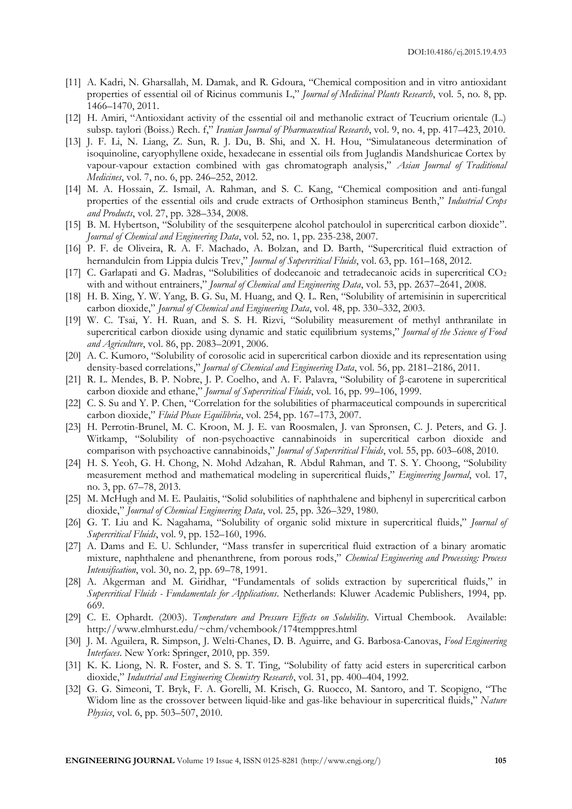- [11] A. Kadri, N. Gharsallah, M. Damak, and R. Gdoura, "Chemical composition and in vitro antioxidant properties of essential oil of Ricinus communis L," *Journal of Medicinal Plants Research*, vol. 5, no. 8, pp. 1466–1470, 2011.
- [12] H. Amiri, "Antioxidant activity of the essential oil and methanolic extract of Teucrium orientale (L.) subsp. taylori (Boiss.) Rech. f," *Iranian Journal of Pharmaceutical Research*, vol. 9, no. 4, pp. 417–423, 2010.
- [13] J. F. Li, N. Liang, Z. Sun, R. J. Du, B. Shi, and X. H. Hou, "Simulataneous determination of isoquinoline, caryophyllene oxide, hexadecane in essential oils from Juglandis Mandshuricae Cortex by vapour-vapour extaction combined with gas chromatograph analysis," *Asian Journal of Traditional Medicines*, vol. 7, no. 6, pp. 246–252, 2012.
- [14] M. A. Hossain, Z. Ismail, A. Rahman, and S. C. Kang, "Chemical composition and anti-fungal properties of the essential oils and crude extracts of Orthosiphon stamineus Benth," *Industrial Crops and Products*, vol. 27, pp. 328–334, 2008.
- [15] B. M. Hybertson, "Solubility of the sesquiterpene alcohol patchoulol in supercritical carbon dioxide". *Journal of Chemical and Engineering Data*, vol. 52, no. 1, pp. 235-238, 2007.
- [16] P. F. de Oliveira, R. A. F. Machado, A. Bolzan, and D. Barth, "Supercritical fluid extraction of hernandulcin from Lippia dulcis Trev," *Journal of Supercritical Fluids*, vol. 63, pp. 161–168, 2012.
- [17] C. Garlapati and G. Madras, "Solubilities of dodecanoic and tetradecanoic acids in supercritical  $CO<sub>2</sub>$ with and without entrainers," *Journal of Chemical and Engineering Data*, vol. 53, pp. 2637–2641, 2008.
- [18] H. B. Xing, Y. W. Yang, B. G. Su, M. Huang, and Q. L. Ren, "Solubility of artemisinin in supercritical carbon dioxide," *Journal of Chemical and Engineering Data*, vol. 48, pp. 330–332, 2003.
- [19] W. C. Tsai, Y. H. Ruan, and S. S. H. Rizvi, "Solubility measurement of methyl anthranilate in supercritical carbon dioxide using dynamic and static equilibrium systems," *Journal of the Science of Food and Agriculture*, vol. 86, pp. 2083–2091, 2006.
- [20] A. C. Kumoro, "Solubility of corosolic acid in supercritical carbon dioxide and its representation using density-based correlations," *Journal of Chemical and Engineering Data*, vol. 56, pp. 2181–2186, 2011.
- [21] R. L. Mendes, B. P. Nobre, J. P. Coelho, and A. F. Palavra, "Solubility of β-carotene in supercritical carbon dioxide and ethane," *Journal of Supercritical Fluids*, vol. 16, pp. 99–106, 1999.
- [22] C. S. Su and Y. P. Chen, "Correlation for the solubilities of pharmaceutical compounds in supercritical carbon dioxide," *Fluid Phase Equilibria*, vol. 254, pp. 167–173, 2007.
- [23] H. Perrotin-Brunel, M. C. Kroon, M. J. E. van Roosmalen, J. van Spronsen, C. J. Peters, and G. J. Witkamp, "Solubility of non-psychoactive cannabinoids in supercritical carbon dioxide and comparison with psychoactive cannabinoids," *Journal of Supercritical Fluids*, vol. 55, pp. 603–608, 2010.
- [24] H. S. Yeoh, G. H. Chong, N. Mohd Adzahan, R. Abdul Rahman, and T. S. Y. Choong, "Solubility measurement method and mathematical modeling in supercritical fluids," *Engineering Journal*, vol. 17, no. 3, pp. 67–78, 2013.
- [25] M. McHugh and M. E. Paulaitis, "Solid solubilities of naphthalene and biphenyl in supercritical carbon dioxide," *Journal of Chemical Engineering Data*, vol. 25, pp. 326–329, 1980.
- [26] G. T. Liu and K. Nagahama, "Solubility of organic solid mixture in supercritical fluids," *Journal of Supercritical Fluids*, vol. 9, pp. 152–160, 1996.
- [27] A. Dams and E. U. Schlunder, "Mass transfer in supercritical fluid extraction of a binary aromatic mixture, naphthalene and phenanthrene, from porous rods," *Chemical Engineering and Processing: Process Intensification*, vol. 30, no. 2, pp. 69–78, 1991.
- [28] A. Akgerman and M. Giridhar, "Fundamentals of solids extraction by supercritical fluids," in *Supercritical Fluids - Fundamentals for Applications*. Netherlands: Kluwer Academic Publishers, 1994, pp. 669.
- [29] C. E. Ophardt. (2003). *Temperature and Pressure Effects on Solubility*. Virtual Chembook. Available: http://www.elmhurst.edu/~chm/vchembook/174temppres.html
- [30] J. M. Aguilera, R. Simpson, J. Welti-Chanes, D. B. Aguirre, and G. Barbosa-Canovas, *Food Engineering Interfaces*. New York: Springer, 2010, pp. 359.
- [31] K. K. Liong, N. R. Foster, and S. S. T. Ting, "Solubility of fatty acid esters in supercritical carbon dioxide," *Industrial and Engineering Chemistry Research*, vol. 31, pp. 400–404, 1992.
- [32] G. G. Simeoni, T. Bryk, F. A. Gorelli, M. Krisch, G. Ruocco, M. Santoro, and T. Scopigno, "The Widom line as the crossover between liquid-like and gas-like behaviour in supercritical fluids," *Nature Physics*, vol. 6, pp. 503–507, 2010.